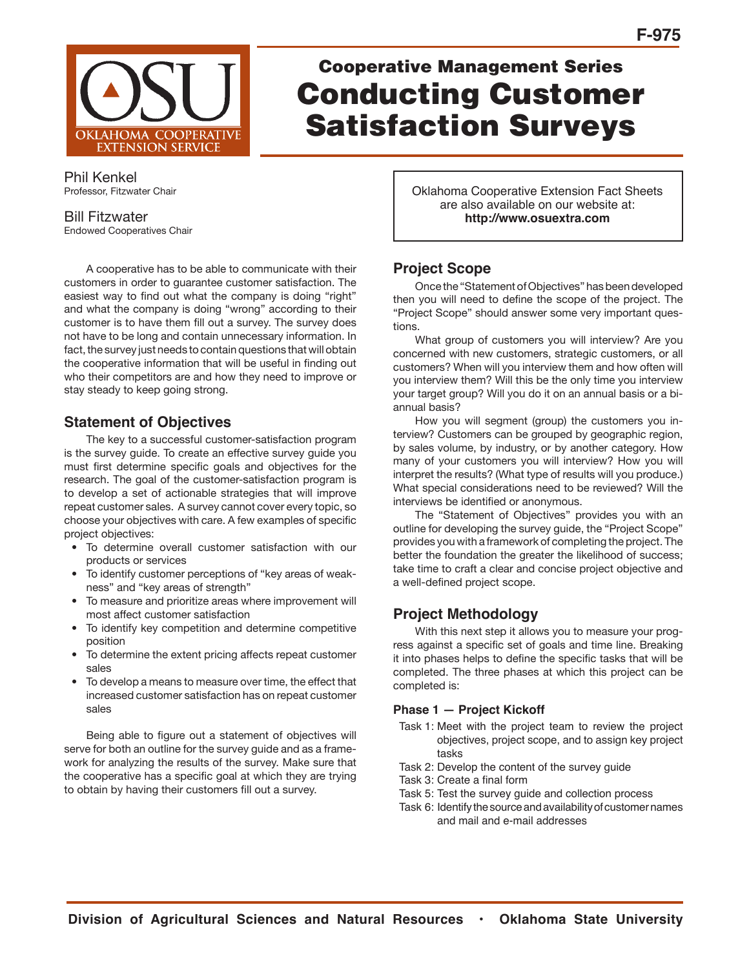

# Cooperative Management Series Conducting Customer Satisfaction Surveys

Phil Kenkel Professor, Fitzwater Chair

#### Bill Fitzwater Endowed Cooperatives Chair

 A cooperative has to be able to communicate with their customers in order to guarantee customer satisfaction. The easiest way to find out what the company is doing "right" and what the company is doing "wrong" according to their customer is to have them fill out a survey. The survey does not have to be long and contain unnecessary information. In fact, the survey just needs to contain questions that will obtain the cooperative information that will be useful in finding out who their competitors are and how they need to improve or stay steady to keep going strong.

# **Statement of Objectives**

 The key to a successful customer-satisfaction program is the survey guide. To create an effective survey guide you must first determine specific goals and objectives for the research. The goal of the customer-satisfaction program is to develop a set of actionable strategies that will improve repeat customer sales. A survey cannot cover every topic, so choose your objectives with care. A few examples of specific project objectives:

- To determine overall customer satisfaction with our products or services
- To identify customer perceptions of "key areas of weakness" and "key areas of strength"
- To measure and prioritize areas where improvement will most affect customer satisfaction
- To identify key competition and determine competitive position
- To determine the extent pricing affects repeat customer sales
- To develop a means to measure over time, the effect that increased customer satisfaction has on repeat customer sales

 Being able to figure out a statement of objectives will serve for both an outline for the survey guide and as a framework for analyzing the results of the survey. Make sure that the cooperative has a specific goal at which they are trying to obtain by having their customers fill out a survey.

Oklahoma Cooperative Extension Fact Sheets are also available on our website at: **http://www.osuextra.com**

# **Project Scope**

 Once the "Statement of Objectives" has been developed then you will need to define the scope of the project. The "Project Scope" should answer some very important questions.

 What group of customers you will interview? Are you concerned with new customers, strategic customers, or all customers? When will you interview them and how often will you interview them? Will this be the only time you interview your target group? Will you do it on an annual basis or a biannual basis?

 How you will segment (group) the customers you interview? Customers can be grouped by geographic region, by sales volume, by industry, or by another category. How many of your customers you will interview? How you will interpret the results? (What type of results will you produce.) What special considerations need to be reviewed? Will the interviews be identified or anonymous.

 The "Statement of Objectives" provides you with an outline for developing the survey guide, the "Project Scope" provides you with a framework of completing the project. The better the foundation the greater the likelihood of success; take time to craft a clear and concise project objective and a well-defined project scope.

# **Project Methodology**

 With this next step it allows you to measure your progress against a specific set of goals and time line. Breaking it into phases helps to define the specific tasks that will be completed. The three phases at which this project can be completed is:

## **Phase 1 — Project Kickoff**

- Task 1: Meet with the project team to review the project objectives, project scope, and to assign key project tasks
- Task 2: Develop the content of the survey guide
- Task 3: Create a final form
- Task 5: Test the survey guide and collection process
- Task 6: Identify the source and availability of customer names and mail and e-mail addresses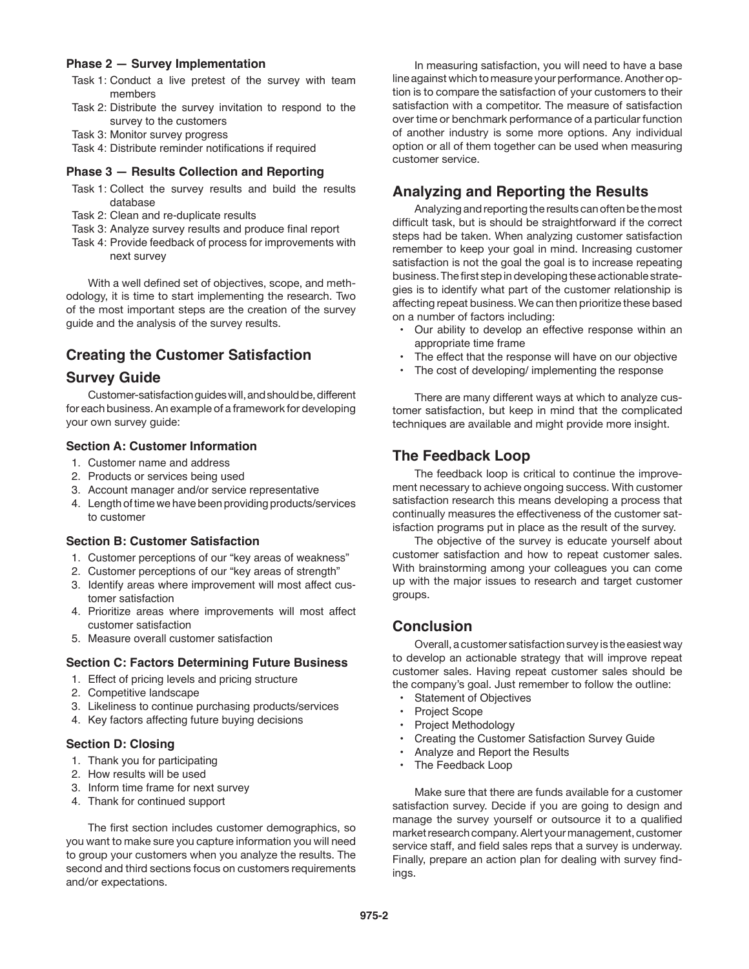## **Phase 2 — Survey Implementation**

- Task 1: Conduct a live pretest of the survey with team members
- Task 2: Distribute the survey invitation to respond to the survey to the customers
- Task 3: Monitor survey progress
- Task 4: Distribute reminder notifications if required

### **Phase 3 — Results Collection and Reporting**

- Task 1: Collect the survey results and build the results database
- Task 2: Clean and re-duplicate results
- Task 3: Analyze survey results and produce final report
- Task 4: Provide feedback of process for improvements with next survey

 With a well defined set of objectives, scope, and methodology, it is time to start implementing the research. Two of the most important steps are the creation of the survey guide and the analysis of the survey results.

# **Creating the Customer Satisfaction**

## **Survey Guide**

 Customer-satisfaction guides will, and should be, different for each business. An example of a framework for developing your own survey guide:

## **Section A: Customer Information**

- 1. Customer name and address
- 2. Products or services being used
- 3. Account manager and/or service representative
- 4. Length of time we have been providing products/services to customer

## **Section B: Customer Satisfaction**

- 1. Customer perceptions of our "key areas of weakness"
- 2. Customer perceptions of our "key areas of strength"
- 3. Identify areas where improvement will most affect customer satisfaction
- 4. Prioritize areas where improvements will most affect customer satisfaction
- 5. Measure overall customer satisfaction

### **Section C: Factors Determining Future Business**

- 1. Effect of pricing levels and pricing structure
- 2. Competitive landscape
- 3. Likeliness to continue purchasing products/services
- 4. Key factors affecting future buying decisions

## **Section D: Closing**

- 1. Thank you for participating
- 2. How results will be used
- 3. Inform time frame for next survey
- 4. Thank for continued support

 The first section includes customer demographics, so you want to make sure you capture information you will need to group your customers when you analyze the results. The second and third sections focus on customers requirements and/or expectations.

 In measuring satisfaction, you will need to have a base line against which to measure your performance. Another option is to compare the satisfaction of your customers to their satisfaction with a competitor. The measure of satisfaction over time or benchmark performance of a particular function of another industry is some more options. Any individual option or all of them together can be used when measuring customer service.

# **Analyzing and Reporting the Results**

 Analyzing and reporting the results can often be the most difficult task, but is should be straightforward if the correct steps had be taken. When analyzing customer satisfaction remember to keep your goal in mind. Increasing customer satisfaction is not the goal the goal is to increase repeating business. The first step in developing these actionable strategies is to identify what part of the customer relationship is affecting repeat business. We can then prioritize these based on a number of factors including:

- Our ability to develop an effective response within an appropriate time frame
- The effect that the response will have on our objective
- The cost of developing/ implementing the response

 There are many different ways at which to analyze customer satisfaction, but keep in mind that the complicated techniques are available and might provide more insight.

## **The Feedback Loop**

 The feedback loop is critical to continue the improvement necessary to achieve ongoing success. With customer satisfaction research this means developing a process that continually measures the effectiveness of the customer satisfaction programs put in place as the result of the survey.

 The objective of the survey is educate yourself about customer satisfaction and how to repeat customer sales. With brainstorming among your colleagues you can come up with the major issues to research and target customer groups.

# **Conclusion**

 Overall, a customer satisfaction survey is the easiest way to develop an actionable strategy that will improve repeat customer sales. Having repeat customer sales should be the company's goal. Just remember to follow the outline:

- **Statement of Objectives**
- Project Scope
- Project Methodology
- Creating the Customer Satisfaction Survey Guide
- Analyze and Report the Results
- The Feedback Loop

 Make sure that there are funds available for a customer satisfaction survey. Decide if you are going to design and manage the survey yourself or outsource it to a qualified market research company. Alert your management, customer service staff, and field sales reps that a survey is underway. Finally, prepare an action plan for dealing with survey findings.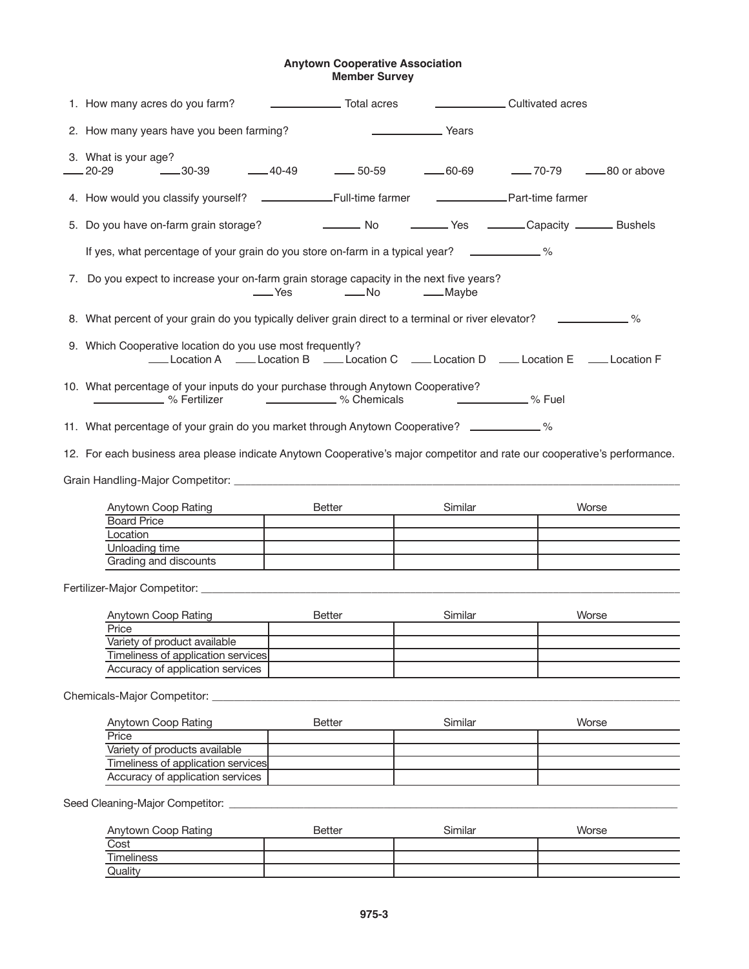## **Anytown Cooperative Association Member Survey**

| 1. How many acres do you farm?                                                                                                                                                                                                | Total acres                                 | Cultivated acres |       |  |
|-------------------------------------------------------------------------------------------------------------------------------------------------------------------------------------------------------------------------------|---------------------------------------------|------------------|-------|--|
| 2. How many years have you been farming?                                                                                                                                                                                      |                                             | Years Years      |       |  |
| 3. What is your age?                                                                                                                                                                                                          |                                             |                  |       |  |
|                                                                                                                                                                                                                               |                                             |                  |       |  |
| 5. Do you have on-farm grain storage? [10] No [10] No [10] No [10] No [10] No [10] No [10] No [10] No [10] No [10] No [10] No [10] No [10] No [10] No [10] No [10] No [10] No [10] No [10] No [10] No [10] No [10] No [10] No |                                             |                  |       |  |
| If yes, what percentage of your grain do you store on-farm in a typical year? ____________%                                                                                                                                   |                                             |                  |       |  |
| 7. Do you expect to increase your on-farm grain storage capacity in the next five years?                                                                                                                                      | Last The South Charles Control of the Maybe |                  |       |  |
| 8. What percent of your grain do you typically deliver grain direct to a terminal or river elevator? ____________ %                                                                                                           |                                             |                  |       |  |
| 9. Which Cooperative location do you use most frequently?<br>Location A ____ Location B _____ Location C _____ Location D _____ Location E _____ Location F                                                                   |                                             |                  |       |  |
| 10. What percentage of your inputs do your purchase through Anytown Cooperative?<br>$\sim$ $\sim$ $\sim$ Fuel                                                                                                                 |                                             |                  |       |  |
| 11. What percentage of your grain do you market through Anytown Cooperative? ____________%                                                                                                                                    |                                             |                  |       |  |
| 12. For each business area please indicate Anytown Cooperative's major competitor and rate our cooperative's performance.                                                                                                     |                                             |                  |       |  |
|                                                                                                                                                                                                                               |                                             |                  |       |  |
| Anytown Coop Rating                                                                                                                                                                                                           | Better                                      | Similar          | Worse |  |
| Board Price                                                                                                                                                                                                                   |                                             |                  |       |  |
| Location                                                                                                                                                                                                                      |                                             |                  |       |  |
| Unloading time                                                                                                                                                                                                                |                                             |                  |       |  |
| Grading and discounts                                                                                                                                                                                                         |                                             |                  |       |  |

Fertilizer-Major Competitor: \_\_\_\_\_\_\_\_\_\_\_\_\_\_\_\_\_\_\_\_\_\_\_\_\_\_\_\_\_\_\_\_\_\_\_\_\_\_\_\_\_\_\_\_\_\_\_\_\_\_\_\_\_\_\_\_\_\_\_\_\_\_\_\_\_\_\_\_\_\_\_\_\_\_\_\_\_\_\_\_\_\_\_\_\_\_\_

| Anytown Coop Rating                | <b>Better</b> | Similar | Worse |
|------------------------------------|---------------|---------|-------|
| Price                              |               |         |       |
| Variety of product available       |               |         |       |
| Timeliness of application services |               |         |       |
| Accuracy of application services   |               |         |       |

Chemicals-Major Competitor: \_\_\_\_\_\_\_\_\_\_\_\_\_\_\_\_\_\_\_\_\_\_\_\_\_\_\_\_\_\_\_\_\_\_\_\_\_\_\_\_\_\_\_\_\_\_\_\_\_\_\_\_\_\_\_\_\_\_\_\_\_\_\_\_\_\_\_\_\_\_\_\_\_\_\_\_\_\_\_\_\_\_\_\_\_

 $\mathcal{L}$ 

| Anytown Coop Rating                | <b>Better</b> | Similar | Worse |
|------------------------------------|---------------|---------|-------|
| Price                              |               |         |       |
| Variety of products available      |               |         |       |
| Timeliness of application services |               |         |       |
| Accuracy of application services   |               |         |       |

Seed Cleaning-Major Competitor: \_\_\_\_\_\_\_\_\_\_\_\_\_\_\_\_\_\_\_\_\_\_\_\_\_\_\_\_\_\_\_\_\_\_\_\_\_\_\_\_\_\_\_\_\_\_\_\_\_\_\_\_\_\_\_\_\_\_\_\_\_\_\_\_\_\_\_\_\_\_\_\_\_\_\_\_\_\_\_\_\_\_\_\_

| Anytown Coop Rating | <b>Better</b> | Similar | Worse |
|---------------------|---------------|---------|-------|
| Cost                |               |         |       |
| Timeliness          |               |         |       |
| Quality             |               |         |       |